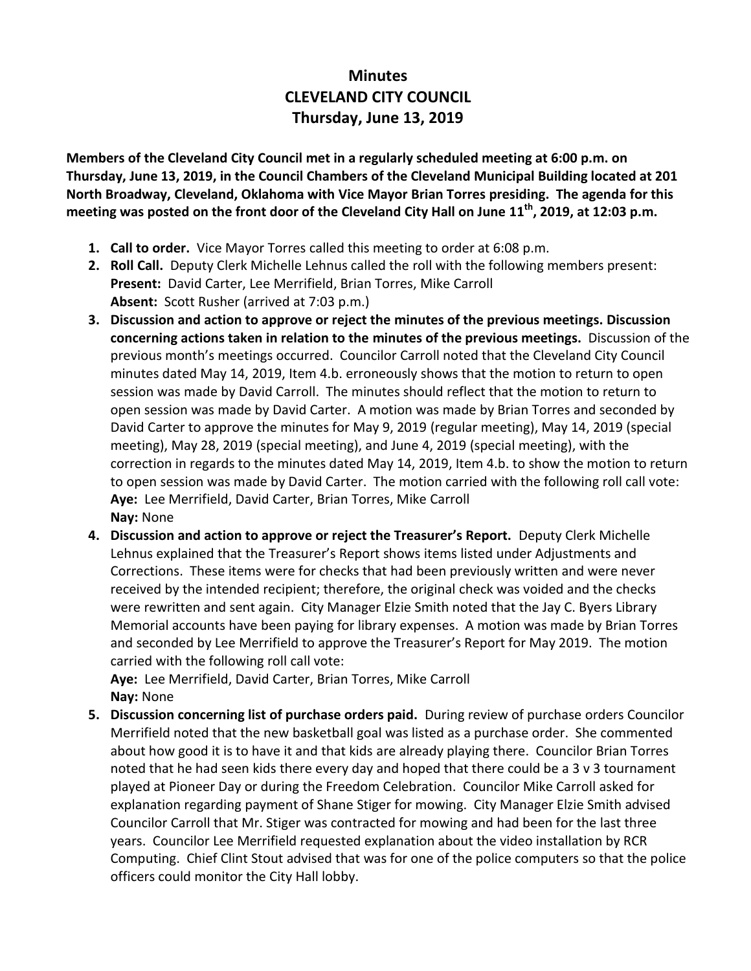## **Minutes CLEVELAND CITY COUNCIL Thursday, June 13, 2019**

**Members of the Cleveland City Council met in a regularly scheduled meeting at 6:00 p.m. on Thursday, June 13, 2019, in the Council Chambers of the Cleveland Municipal Building located at 201 North Broadway, Cleveland, Oklahoma with Vice Mayor Brian Torres presiding. The agenda for this meeting was posted on the front door of the Cleveland City Hall on June 11th , 2019, at 12:03 p.m.**

- **1. Call to order.** Vice Mayor Torres called this meeting to order at 6:08 p.m.
- **2. Roll Call.** Deputy Clerk Michelle Lehnus called the roll with the following members present: **Present:** David Carter, Lee Merrifield, Brian Torres, Mike Carroll **Absent:** Scott Rusher (arrived at 7:03 p.m.)
- **3. Discussion and action to approve or reject the minutes of the previous meetings. Discussion concerning actions taken in relation to the minutes of the previous meetings.** Discussion of the previous month's meetings occurred. Councilor Carroll noted that the Cleveland City Council minutes dated May 14, 2019, Item 4.b. erroneously shows that the motion to return to open session was made by David Carroll. The minutes should reflect that the motion to return to open session was made by David Carter. A motion was made by Brian Torres and seconded by David Carter to approve the minutes for May 9, 2019 (regular meeting), May 14, 2019 (special meeting), May 28, 2019 (special meeting), and June 4, 2019 (special meeting), with the correction in regards to the minutes dated May 14, 2019, Item 4.b. to show the motion to return to open session was made by David Carter. The motion carried with the following roll call vote: **Aye:** Lee Merrifield, David Carter, Brian Torres, Mike Carroll **Nay:** None
- **4. Discussion and action to approve or reject the Treasurer's Report.** Deputy Clerk Michelle Lehnus explained that the Treasurer's Report shows items listed under Adjustments and Corrections. These items were for checks that had been previously written and were never received by the intended recipient; therefore, the original check was voided and the checks were rewritten and sent again. City Manager Elzie Smith noted that the Jay C. Byers Library Memorial accounts have been paying for library expenses. A motion was made by Brian Torres and seconded by Lee Merrifield to approve the Treasurer's Report for May 2019. The motion carried with the following roll call vote:

**Aye:** Lee Merrifield, David Carter, Brian Torres, Mike Carroll **Nay:** None

**5. Discussion concerning list of purchase orders paid.** During review of purchase orders Councilor Merrifield noted that the new basketball goal was listed as a purchase order. She commented about how good it is to have it and that kids are already playing there. Councilor Brian Torres noted that he had seen kids there every day and hoped that there could be a 3 v 3 tournament played at Pioneer Day or during the Freedom Celebration. Councilor Mike Carroll asked for explanation regarding payment of Shane Stiger for mowing. City Manager Elzie Smith advised Councilor Carroll that Mr. Stiger was contracted for mowing and had been for the last three years. Councilor Lee Merrifield requested explanation about the video installation by RCR Computing. Chief Clint Stout advised that was for one of the police computers so that the police officers could monitor the City Hall lobby.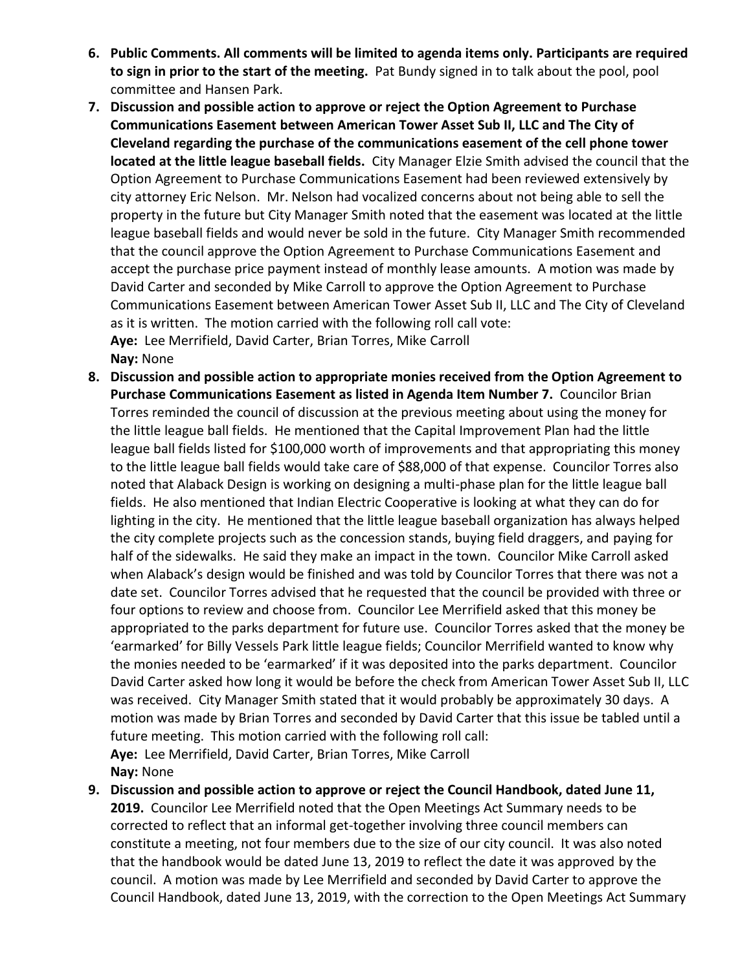- **6. Public Comments. All comments will be limited to agenda items only. Participants are required to sign in prior to the start of the meeting.** Pat Bundy signed in to talk about the pool, pool committee and Hansen Park.
- **7. Discussion and possible action to approve or reject the Option Agreement to Purchase Communications Easement between American Tower Asset Sub II, LLC and The City of Cleveland regarding the purchase of the communications easement of the cell phone tower located at the little league baseball fields.** City Manager Elzie Smith advised the council that the Option Agreement to Purchase Communications Easement had been reviewed extensively by city attorney Eric Nelson. Mr. Nelson had vocalized concerns about not being able to sell the property in the future but City Manager Smith noted that the easement was located at the little league baseball fields and would never be sold in the future. City Manager Smith recommended that the council approve the Option Agreement to Purchase Communications Easement and accept the purchase price payment instead of monthly lease amounts. A motion was made by David Carter and seconded by Mike Carroll to approve the Option Agreement to Purchase Communications Easement between American Tower Asset Sub II, LLC and The City of Cleveland as it is written. The motion carried with the following roll call vote: **Aye:** Lee Merrifield, David Carter, Brian Torres, Mike Carroll **Nay:** None
- **8. Discussion and possible action to appropriate monies received from the Option Agreement to Purchase Communications Easement as listed in Agenda Item Number 7.** Councilor Brian Torres reminded the council of discussion at the previous meeting about using the money for the little league ball fields. He mentioned that the Capital Improvement Plan had the little league ball fields listed for \$100,000 worth of improvements and that appropriating this money to the little league ball fields would take care of \$88,000 of that expense. Councilor Torres also noted that Alaback Design is working on designing a multi-phase plan for the little league ball fields. He also mentioned that Indian Electric Cooperative is looking at what they can do for lighting in the city. He mentioned that the little league baseball organization has always helped the city complete projects such as the concession stands, buying field draggers, and paying for half of the sidewalks. He said they make an impact in the town. Councilor Mike Carroll asked when Alaback's design would be finished and was told by Councilor Torres that there was not a date set. Councilor Torres advised that he requested that the council be provided with three or four options to review and choose from. Councilor Lee Merrifield asked that this money be appropriated to the parks department for future use. Councilor Torres asked that the money be 'earmarked' for Billy Vessels Park little league fields; Councilor Merrifield wanted to know why the monies needed to be 'earmarked' if it was deposited into the parks department. Councilor David Carter asked how long it would be before the check from American Tower Asset Sub II, LLC was received. City Manager Smith stated that it would probably be approximately 30 days. A motion was made by Brian Torres and seconded by David Carter that this issue be tabled until a future meeting. This motion carried with the following roll call: **Aye:** Lee Merrifield, David Carter, Brian Torres, Mike Carroll **Nay:** None
- **9. Discussion and possible action to approve or reject the Council Handbook, dated June 11, 2019.** Councilor Lee Merrifield noted that the Open Meetings Act Summary needs to be corrected to reflect that an informal get-together involving three council members can constitute a meeting, not four members due to the size of our city council. It was also noted that the handbook would be dated June 13, 2019 to reflect the date it was approved by the council. A motion was made by Lee Merrifield and seconded by David Carter to approve the Council Handbook, dated June 13, 2019, with the correction to the Open Meetings Act Summary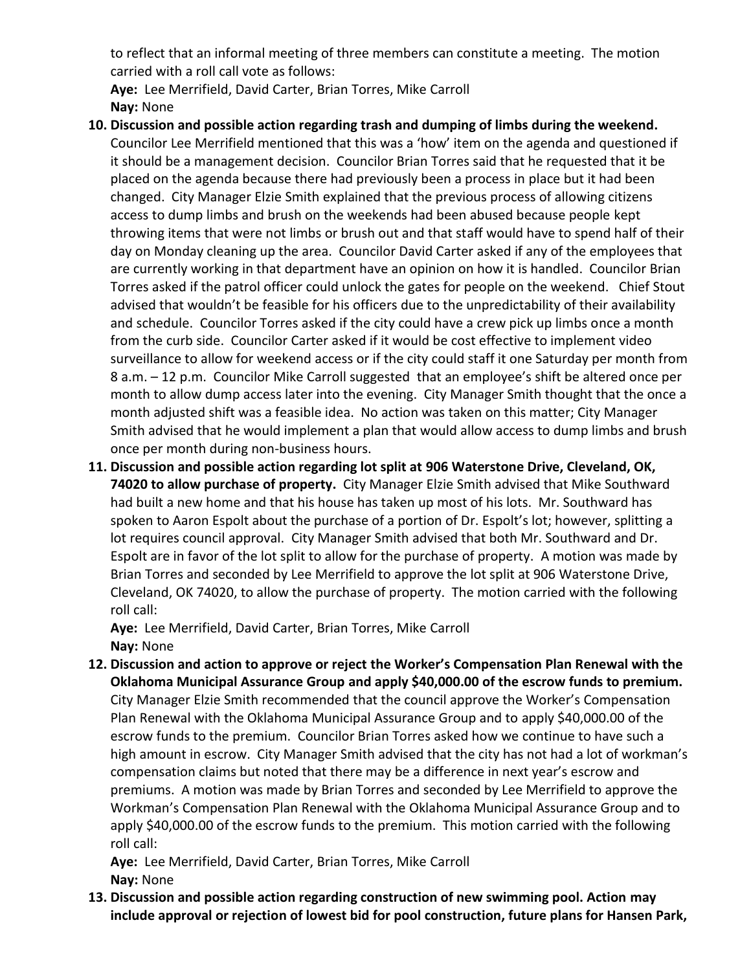to reflect that an informal meeting of three members can constitute a meeting. The motion carried with a roll call vote as follows:

**Aye:** Lee Merrifield, David Carter, Brian Torres, Mike Carroll **Nay:** None

- **10. Discussion and possible action regarding trash and dumping of limbs during the weekend.**  Councilor Lee Merrifield mentioned that this was a 'how' item on the agenda and questioned if it should be a management decision. Councilor Brian Torres said that he requested that it be placed on the agenda because there had previously been a process in place but it had been changed. City Manager Elzie Smith explained that the previous process of allowing citizens access to dump limbs and brush on the weekends had been abused because people kept throwing items that were not limbs or brush out and that staff would have to spend half of their day on Monday cleaning up the area. Councilor David Carter asked if any of the employees that are currently working in that department have an opinion on how it is handled. Councilor Brian Torres asked if the patrol officer could unlock the gates for people on the weekend. Chief Stout advised that wouldn't be feasible for his officers due to the unpredictability of their availability and schedule. Councilor Torres asked if the city could have a crew pick up limbs once a month from the curb side. Councilor Carter asked if it would be cost effective to implement video surveillance to allow for weekend access or if the city could staff it one Saturday per month from 8 a.m. – 12 p.m. Councilor Mike Carroll suggested that an employee's shift be altered once per month to allow dump access later into the evening. City Manager Smith thought that the once a month adjusted shift was a feasible idea. No action was taken on this matter; City Manager Smith advised that he would implement a plan that would allow access to dump limbs and brush once per month during non-business hours.
- **11. Discussion and possible action regarding lot split at 906 Waterstone Drive, Cleveland, OK, 74020 to allow purchase of property.** City Manager Elzie Smith advised that Mike Southward had built a new home and that his house has taken up most of his lots. Mr. Southward has spoken to Aaron Espolt about the purchase of a portion of Dr. Espolt's lot; however, splitting a lot requires council approval. City Manager Smith advised that both Mr. Southward and Dr. Espolt are in favor of the lot split to allow for the purchase of property. A motion was made by Brian Torres and seconded by Lee Merrifield to approve the lot split at 906 Waterstone Drive, Cleveland, OK 74020, to allow the purchase of property. The motion carried with the following roll call:

**Aye:** Lee Merrifield, David Carter, Brian Torres, Mike Carroll **Nay:** None

**12. Discussion and action to approve or reject the Worker's Compensation Plan Renewal with the Oklahoma Municipal Assurance Group and apply \$40,000.00 of the escrow funds to premium.**  City Manager Elzie Smith recommended that the council approve the Worker's Compensation Plan Renewal with the Oklahoma Municipal Assurance Group and to apply \$40,000.00 of the escrow funds to the premium. Councilor Brian Torres asked how we continue to have such a high amount in escrow. City Manager Smith advised that the city has not had a lot of workman's compensation claims but noted that there may be a difference in next year's escrow and premiums. A motion was made by Brian Torres and seconded by Lee Merrifield to approve the Workman's Compensation Plan Renewal with the Oklahoma Municipal Assurance Group and to apply \$40,000.00 of the escrow funds to the premium. This motion carried with the following roll call:

**Aye:** Lee Merrifield, David Carter, Brian Torres, Mike Carroll **Nay:** None

**13. Discussion and possible action regarding construction of new swimming pool. Action may include approval or rejection of lowest bid for pool construction, future plans for Hansen Park,**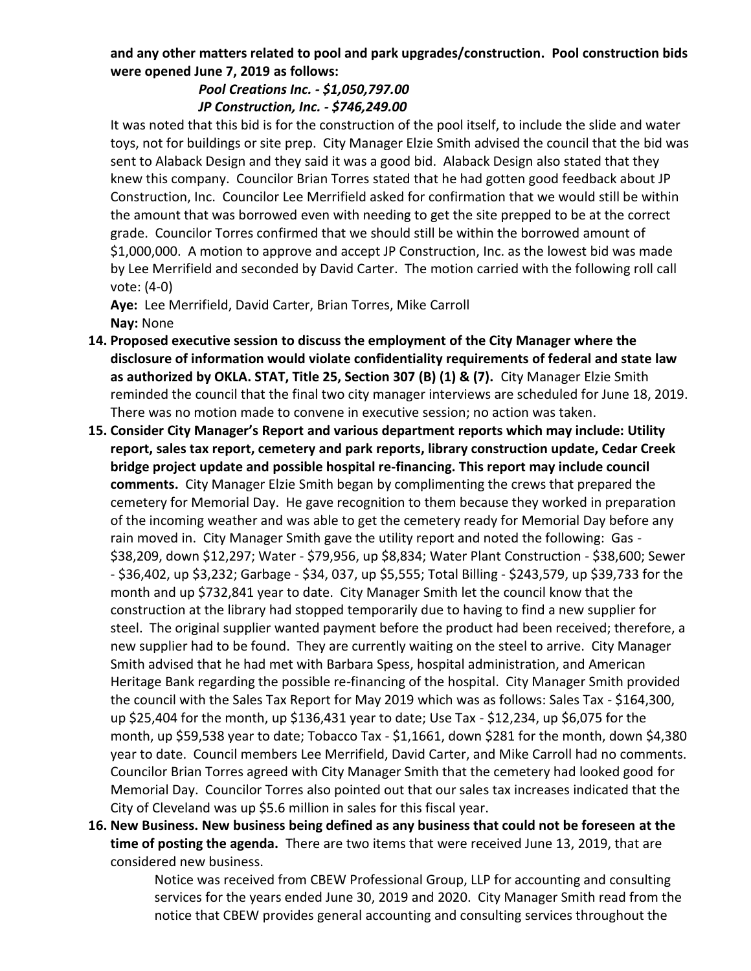## **and any other matters related to pool and park upgrades/construction. Pool construction bids were opened June 7, 2019 as follows:**

## *Pool Creations Inc. - \$1,050,797.00 JP Construction, Inc. - \$746,249.00*

It was noted that this bid is for the construction of the pool itself, to include the slide and water toys, not for buildings or site prep. City Manager Elzie Smith advised the council that the bid was sent to Alaback Design and they said it was a good bid. Alaback Design also stated that they knew this company. Councilor Brian Torres stated that he had gotten good feedback about JP Construction, Inc. Councilor Lee Merrifield asked for confirmation that we would still be within the amount that was borrowed even with needing to get the site prepped to be at the correct grade. Councilor Torres confirmed that we should still be within the borrowed amount of \$1,000,000. A motion to approve and accept JP Construction, Inc. as the lowest bid was made by Lee Merrifield and seconded by David Carter. The motion carried with the following roll call vote: (4-0)

**Aye:** Lee Merrifield, David Carter, Brian Torres, Mike Carroll **Nay:** None

- **14. Proposed executive session to discuss the employment of the City Manager where the disclosure of information would violate confidentiality requirements of federal and state law as authorized by OKLA. STAT, Title 25, Section 307 (B) (1) & (7).** City Manager Elzie Smith reminded the council that the final two city manager interviews are scheduled for June 18, 2019. There was no motion made to convene in executive session; no action was taken.
- **15. Consider City Manager's Report and various department reports which may include: Utility report, sales tax report, cemetery and park reports, library construction update, Cedar Creek bridge project update and possible hospital re-financing. This report may include council comments.** City Manager Elzie Smith began by complimenting the crews that prepared the cemetery for Memorial Day. He gave recognition to them because they worked in preparation of the incoming weather and was able to get the cemetery ready for Memorial Day before any rain moved in. City Manager Smith gave the utility report and noted the following: Gas - \$38,209, down \$12,297; Water - \$79,956, up \$8,834; Water Plant Construction - \$38,600; Sewer - \$36,402, up \$3,232; Garbage - \$34, 037, up \$5,555; Total Billing - \$243,579, up \$39,733 for the month and up \$732,841 year to date. City Manager Smith let the council know that the construction at the library had stopped temporarily due to having to find a new supplier for steel. The original supplier wanted payment before the product had been received; therefore, a new supplier had to be found. They are currently waiting on the steel to arrive. City Manager Smith advised that he had met with Barbara Spess, hospital administration, and American Heritage Bank regarding the possible re-financing of the hospital. City Manager Smith provided the council with the Sales Tax Report for May 2019 which was as follows: Sales Tax - \$164,300, up \$25,404 for the month, up \$136,431 year to date; Use Tax - \$12,234, up \$6,075 for the month, up \$59,538 year to date; Tobacco Tax - \$1,1661, down \$281 for the month, down \$4,380 year to date. Council members Lee Merrifield, David Carter, and Mike Carroll had no comments. Councilor Brian Torres agreed with City Manager Smith that the cemetery had looked good for Memorial Day. Councilor Torres also pointed out that our sales tax increases indicated that the City of Cleveland was up \$5.6 million in sales for this fiscal year.
- **16. New Business. New business being defined as any business that could not be foreseen at the time of posting the agenda.** There are two items that were received June 13, 2019, that are considered new business.

Notice was received from CBEW Professional Group, LLP for accounting and consulting services for the years ended June 30, 2019 and 2020. City Manager Smith read from the notice that CBEW provides general accounting and consulting services throughout the